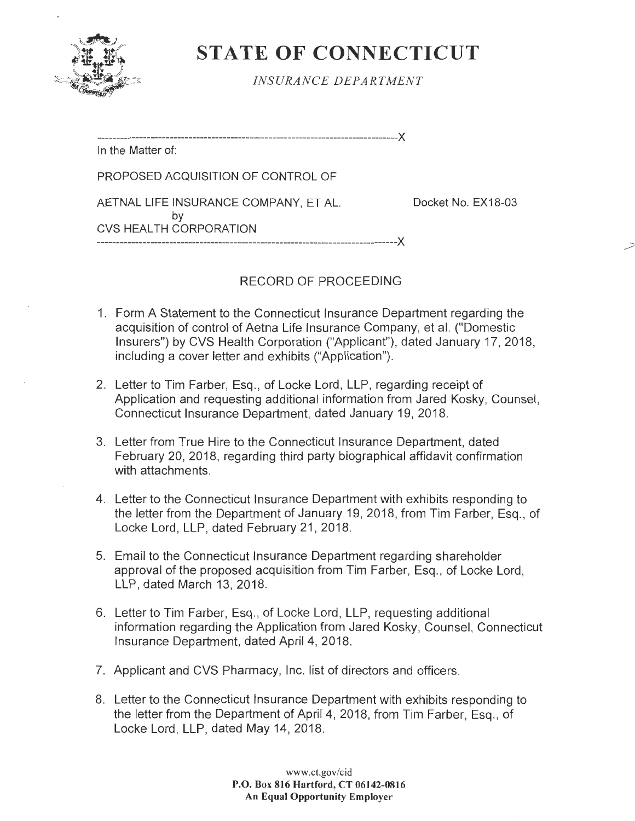

## **STATE OF CONNECTICUT**

*INSURANCE DEPARTMENT* 

-------------------------------------------------------------------------------)(

In the Matter of:

PROPOSED ACQUISITION OF CONTROL OF

AETNAL LIFE INSURANCE COMPANY, ET AL. Docket No. EX18-03

CVS HEALTH CORPORATION

by

## RECORD OF PROCEEDING

-------------------------------------------------------------------------------)(

- 1. Form A Statement to the Connecticut Insurance Department regarding the acquisition of control of Aetna Life Insurance Company, et al. ("Domestic Insurers") by CVS Health Corporation ("Applicant"), dated January 17, 2018, including a cover letter and exhibits ("Application").
- 2. Letter to Tim Farber, Esq., of Locke Lord, LLP, regarding receipt of Application and requesting additional information from Jared Kosky, Counsel, Connecticut Insurance Department, dated January 19, 2018.
- 3. Letter from True Hire to the Connecticut Insurance Department, dated February 20, 2018, regarding third' party biographical affidavit confirmation with attachments.
- 4. Letter to the Connecticut Insurance Department with exhibits responding to the letter from the Department of January 19, 2018, from Tim Farber, Esq., of Locke Lord, LLP, dated February 21, 2018.
- 5. Email to the Connecticut Insurance Department regarding shareholder approval of the proposed acquisition from Tim Farber, Esq., of Locke Lord, LLP, dated March 13, 2018.
- 6. Letter to Tim Farber, Esq., of Locke Lord, LLP, requesting additional information regarding the Application from Jared Kosky, Counsel, Connecticut Insurance Department, dated April 4, 2018.
- 7. Applicant and CVS Pharmacy, Inc. list of directors and officers.
- 8. Letter to the Connecticut Insurance Department with exhibits responding to the letter from the Department of April 4, 2018, from Tim Farber, Esq. , of Locke Lord, LLP, dated May 14, 2018.

www.ct.gov/cid **P.O. Box 816 Hartford, CT 06142-0816 An Equal Opportunity Employer**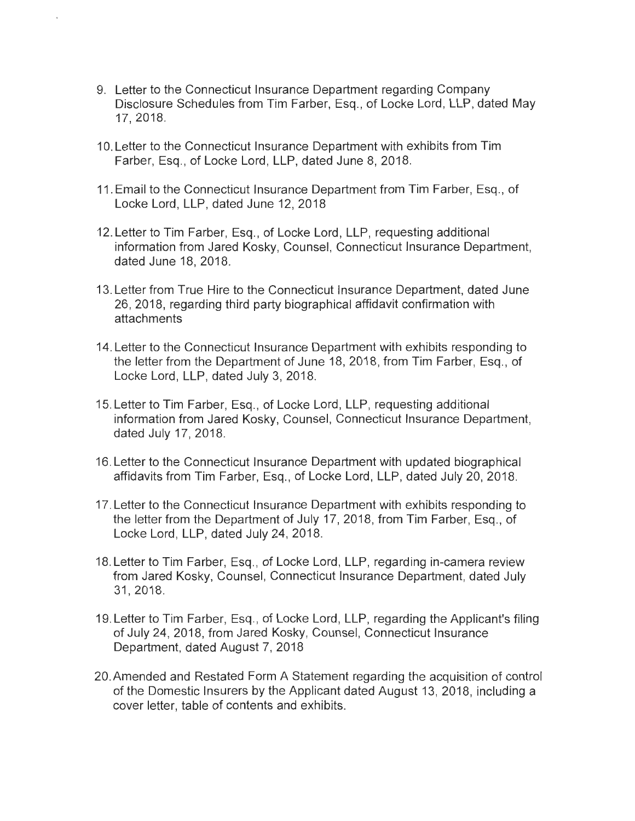- 9. Letter to the Connecticut Insurance Department regarding Company Disclosure Schedules from Tim Farber, Esq., of Locke Lord, LLP, dated May 17, 2018.
- 10. Letter to the Connecticut Insurance Department with exhibits from Tim Farber, Esq., of Locke Lord, LLP, dated June 8, 2018.
- 11. Email to the Connecticut Insurance Department from Tim Farber, Esq. , of Locke Lord, LLP, dated June 12, 2018
- 12. Letter to Tim Farber, Esq., of Locke Lord, LLP, requesting additional information from Jared Kosky, Counsel, Connecticut Insurance Department, dated June 18, 2018.
- 13. Letter from True Hire to the Connecticut Insurance Department, dated June 26, 2018, regarding third party biographical affidavit confirmation with attachments
- 14.Letter to the Connecticut Insurance Department with exhibits responding to the letter from the Department of June 18, 2018, from Tim Farber, Esq., of Locke Lord, LLP, dated July 3, 2018.
- 15. Letter to Tim Farber, Esq. , of Locke Lord, LLP, requesting additional information from Jared Kosky, Counsel, Connecticut Insurance Department, dated July 17, 2018.
- 16. Letter to the Connecticut Insurance Department with updated biographical affidavits from Tim Farber, Esq., of Locke Lord, LLP, dated July 20, 2018.
- 17. Letter to the Connecticut Insurance Department with exhibits responding to the letter from the Department of July 17, 2018, from Tim Farber, Esq., of Locke Lord, LLP, dated July 24, 2018.
- 18. Letter to Tim Farber, Esq., of Locke Lord, LLP, regarding in-camera review from Jared Kosky, Counsel, Connecticut Insurance Department, dated July 31 , 2018.
- 19. Letter to Tim Farber, Esq., of Locke Lord, LLP, regarding the Applicant's filing of July 24, 2018, from Jared Kosky, Counsel, Connecticut Insurance Department, dated August 7, 2018
- 20.Amended and Restated Form A Statement regarding the acquisition of control of the Domestic Insurers by the Applicant dated August 13, 2018, including a cover letter, table of contents and exhibits.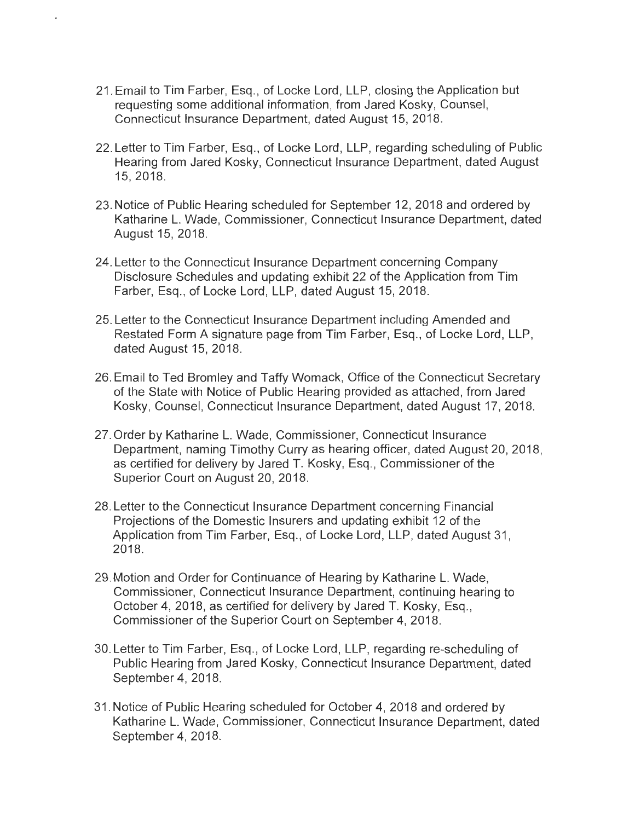21. Email to Tim Farber, Esq. , of Locke Lord, LLP, closing the Application but requesting some additional information, from Jared Kosky, Counsel, Connecticut Insurance Department, dated August 15, 2018.

 $t = 1$  .  $t = 1$ 

- 22. Letter to Tim Farber, Esq., of Locke Lord, LLP, regarding scheduling of Public Hearing from Jared Kosky, Connecticut Insurance Department, dated August 15, 2018.
- 23. Notice of Public Hearing scheduled for September 12, 2018 and ordered by Katharine L. Wade, Commissioner, Connecticut Insurance Department, dated August 15, 2018.
- 24. Letter to the Connecticut Insurance Department concerning Company Disclosure Schedules and updating exhibit 22 of the Application from Tim Farber, Esq. , of Locke Lord, LLP, dated August 15, 2018.
- 25. Letter to the Connecticut Insurance Department including Amended and Restated Form A signature page from Tim Farber, Esg., of Locke Lord, LLP, dated August 15, 2018.
- 26. Email to Ted Bromley and Taffy Womack, Office of the Connecticut Secretary of the State with Notice of Public Hearing provided as attached, from Jared Kosky, Counsel, Connecticut Insurance Department, dated August 17, 2018.
- 27. Order by Katharine L. Wade, Commissioner, Connecticut Insurance Department, naming Timothy Curry as hearing officer, dated August 20, 2018, as certified for delivery by Jared T. Kosky, Esq. , Commissioner of the Superior Court on August 20, 2018.
- 28. Letter to the Connecticut Insurance Department concerning Financial Projections of the Domestic Insurers and updating exhibit 12 of the Application from Tim Farber, Esq., of Locke Lord, LLP, dated August 31, 2018.
- 29. Motion and Order for Continuance of Hearing by Katharine L. Wade, Commissioner, Connecticut Insurance Department, continuing hearing to October 4, 2018, as certified for delivery by Jared T. Kosky, Esq., Commissioner of the Superior Court on September 4, 2018.
- 30. Letter to Tim Farber, Esq. , of Locke Lord, LLP, regarding re-scheduling of Public Hearing from Jared Kosky, Connecticut Insurance Department, dated September 4, 2018.
- 31. Notice of Public Hearing scheduled for October 4, 2018 and ordered by Katharine L. Wade, Commissioner, Connecticut Insurance Department, dated September 4, 2018.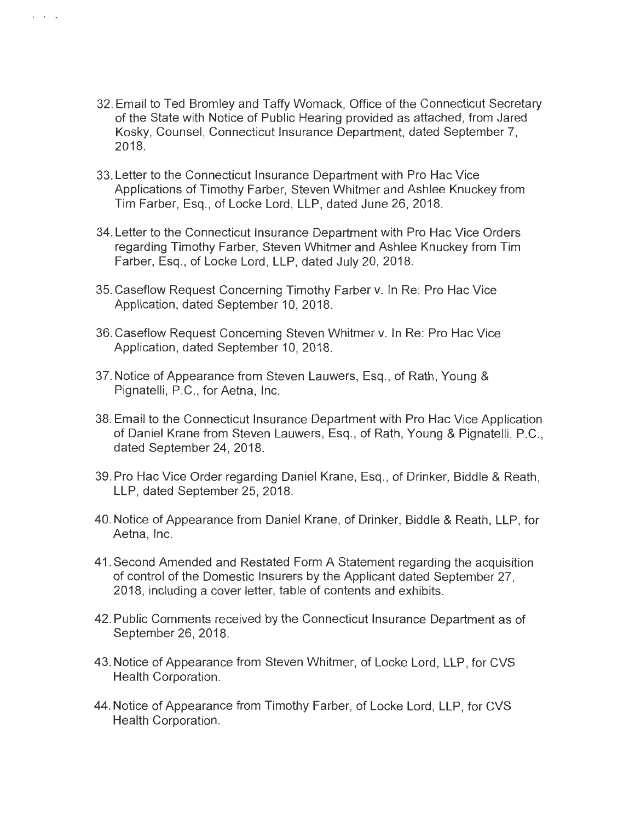32. Email to Ted Bromley and Taffy Womack, Office of the Connecticut Secretary of the State with Notice of Public Hearing provided as attached, from Jared Kosky, Counsel, Connecticut Insurance Department, dated September 7, 2018.

I I I •

- 33. Letter to the Connecticut Insurance Department with Pro Hae Vice Applications of Timothy Farber, Steven Whitmer and Ashlee Knuckey from Tim Farber, Esq. , of Locke Lord, LLP, dated June 26, 2018.
- 34. Letter to the Connecticut Insurance Department with Pro Hae Vice Orders regarding Timothy Farber, Steven Whitmer and Ashlee Knuckey from Tim Farber, Esq., of Locke Lord, **LLP,** dated July 20, 2018.
- 35. Caseflow Request Concerning Timothy Farber v. In Re: Pro Hae Vice Application, dated September 10, 2018.
- 36. Caseflow Request Concerning Steven Whitmer v. In Re: Pro Hae Vice Application, dated September 10, 2018.
- 37. Notice of Appearance from Steven Lauwers, Esq., of Rath, Young & Pignatelli, P.C. , for Aetna, Inc.
- 38. Email to the Connecticut Insurance Department with Pro Hae Vice Application of Daniel Krane from Steven Lauwers, Esq., of Rath, Young & Pignatelli, P.C., dated September 24, 2018.
- 39. Pro Hae Vice Order regarding Daniel Krane, Esq. , of Drinker, Biddle & Reath , LLP, dated September 25, 2018.
- 40. Notice of Appearance from Daniel Krane, of Drinker, Biddle & Reath , LLP, for Aetna, Inc.
- 41. Second Amended and Restated Form A Statement regarding the acquisition of control of the Domestic Insurers by the Applicant dated September 27, 2018, including a cover letter, table of contents and exhibits.
- 42. Public Comments received by the Connecticut Insurance Department as of September 26, 2018.
- 43. Notice of Appearance from Steven Whitmer, of Locke Lord, LLP, for CVS Health Corporation.
- 44. Notice of Appearance from Timothy Farber, of Locke Lord, LLP, for CVS Health Corporation.